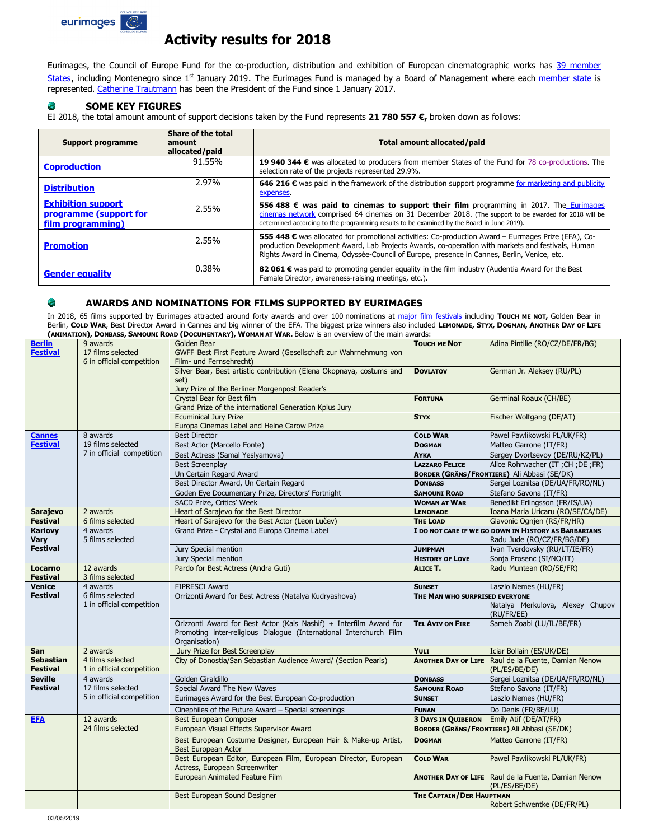

# **Activity results for 2018**

Eurimages, the Council of Europe Fund for the co-production, distribution and exhibition of European cinematographic works has 39 member [States](https://www.coe.int/en/web/eurimages/board-of-management), including Montenegro since 1<sup>st</sup> January 2019. The Eurimages Fund is managed by a Board of Management where each [member state](https://www.coe.int/web/eurimages/members) is represented. Catherine [Trautmann](https://www.coe.int/en/web/eurimages/presidency) has been the President of the Fund since 1 January 2017.

### **SOME KEY FIGURES**

EI 2018, the total amount amount of support decisions taken by the Fund represents **21 780 557 €,** broken down as follows:

| <b>Support programme</b>                                                 | Share of the total<br>amount<br>allocated/paid | Total amount allocated/paid                                                                                                                                                                                                                                                                             |
|--------------------------------------------------------------------------|------------------------------------------------|---------------------------------------------------------------------------------------------------------------------------------------------------------------------------------------------------------------------------------------------------------------------------------------------------------|
| <b>Coproduction</b>                                                      | 91.55%                                         | 19 940 344 € was allocated to producers from member States of the Fund for 78 co-productions. The<br>selection rate of the projects represented 29.9%.                                                                                                                                                  |
| <b>Distribution</b>                                                      | 2.97%                                          | 646 216 € was paid in the framework of the distribution support programme for marketing and publicity<br>expenses.                                                                                                                                                                                      |
| <b>Exhibition support</b><br>programme (support for<br>film programming) | 2.55%                                          | <b>556 488 € was paid to cinemas to support their film</b> programming in 2017. The Eurimages<br>cinemas network comprised 64 cinemas on 31 December 2018. (The support to be awarded for 2018 will be<br>determined according to the programming results to be examined by the Board in June 2019).    |
| <b>Promotion</b>                                                         | 2.55%                                          | 555 448 € was allocated for promotional activities: Co-production Award - Eurmages Prize (EFA), Co-<br>production Development Award, Lab Projects Awards, co-operation with markets and festivals, Human<br>Rights Award in Cinema, Odyssée-Council of Europe, presence in Cannes, Berlin, Venice, etc. |
| <b>Gender equality</b>                                                   | $0.38\%$                                       | 82 061 € was paid to promoting gender equality in the film industry (Audentia Award for the Best<br>Female Director, awareness-raising meetings, etc.).                                                                                                                                                 |

#### e **AWARDS AND NOMINATIONS FOR FILMS SUPPORTED BY EURIMAGES**

In 2018, 65 films supported by Eurimages attracted around forty awards and over 100 nominations at [major film festivals](https://www.coe.int/en/web/eurimages/eurimages-prize-list) including **TOUCH ME NOT,** Golden Bear in Berlin, **COLD WAR**, Best Director Award in Cannes and big winner of the EFA. The biggest prize winners also included **LEMONADE, STYX, DOGMAN, ANOTHER DAY OF LIFE (ANIMATION), DONBASS, SAMOUNI ROAD (DOCUMENTARY), WOMAN AT WAR.** Below is an overview of the main awards:

|                                     | ARMARIADH // 201126                                        | <b>SUBJECT THE REPORT OF STATE DESIGN TO UP OF VICTION CONTROL</b>                                                                                        |                                 |                                                                             |
|-------------------------------------|------------------------------------------------------------|-----------------------------------------------------------------------------------------------------------------------------------------------------------|---------------------------------|-----------------------------------------------------------------------------|
| <b>Berlin</b><br><b>Festival</b>    | 9 awards<br>17 films selected<br>6 in official competition | Golden Bear<br>GWFF Best First Feature Award (Gesellschaft zur Wahrnehmung von<br>Film- und Fernsehrecht)                                                 | <b>TOUCH ME NOT</b>             | Adina Pintilie (RO/CZ/DE/FR/BG)                                             |
|                                     |                                                            | Silver Bear, Best artistic contribution (Elena Okopnaya, costums and<br>set)<br>Jury Prize of the Berliner Morgenpost Reader's                            | <b>DOVLATOV</b>                 | German Jr. Aleksey (RU/PL)                                                  |
|                                     |                                                            | Crystal Bear for Best film<br>Grand Prize of the international Generation Kplus Jury                                                                      | <b>FORTUNA</b>                  | Germinal Roaux (CH/BE)                                                      |
|                                     |                                                            | <b>Ecuminical Jury Prize</b><br>Europa Cinemas Label and Heine Carow Prize                                                                                | <b>STYX</b>                     | Fischer Wolfgang (DE/AT)                                                    |
| <b>Cannes</b>                       | 8 awards                                                   | <b>Best Director</b>                                                                                                                                      | <b>COLD WAR</b>                 | Pawel Pawlikowski PL/UK/FR)                                                 |
| <b>Festival</b>                     | 19 films selected                                          | Best Actor (Marcello Fonte)                                                                                                                               | <b>DOGMAN</b>                   | Matteo Garrone (IT/FR)                                                      |
|                                     | 7 in official competition                                  | Best Actress (Samal Yeslvamova)                                                                                                                           | <b>AYKA</b>                     | Sergey Dvortsevoy (DE/RU/KZ/PL)                                             |
|                                     |                                                            | <b>Best Screenplay</b>                                                                                                                                    | <b>LAZZARO FELICE</b>           | Alice Rohrwacher (IT ; CH ; DE ; FR)                                        |
|                                     |                                                            | Un Certain Regard Award                                                                                                                                   |                                 | <b>BORDER (GRÄNS/FRONTIERE)</b> Ali Abbasi (SE/DK)                          |
|                                     |                                                            | Best Director Award, Un Certain Regard                                                                                                                    | <b>DONBASS</b>                  | Sergei Loznitsa (DE/UA/FR/RO/NL)                                            |
|                                     |                                                            | Goden Eye Documentary Prize, Directors' Fortnight                                                                                                         | <b>SAMOUNI ROAD</b>             | Stefano Savona (IT/FR)                                                      |
|                                     |                                                            | SACD Prize, Critics' Week                                                                                                                                 | <b>WOMAN AT WAR</b>             | Benedikt Erlingsson (FR/IS/UA)                                              |
| <b>Sarajevo</b>                     | 2 awards                                                   | Heart of Sarajevo for the Best Director                                                                                                                   | <b>LEMONADE</b>                 | Ioana Maria Uricaru (RO/SE/CA/DE)                                           |
| <b>Festival</b>                     | 6 films selected                                           | Heart of Sarajevo for the Best Actor (Leon Lučev)                                                                                                         | <b>THE LOAD</b>                 | Glavonic Ognjen (RS/FR/HR)                                                  |
| Karlovy                             | 4 awards                                                   | Grand Prize - Crystal and Europa Cinema Label                                                                                                             |                                 | I DO NOT CARE IF WE GO DOWN IN HISTORY AS BARBARIANS                        |
| <b>Vary</b>                         | 5 films selected                                           |                                                                                                                                                           |                                 | Radu Jude (RO/CZ/FR/BG/DE)                                                  |
| <b>Festival</b>                     |                                                            | Jury Special mention                                                                                                                                      | <b>JUMPMAN</b>                  | Ivan Tverdovsky (RU/LT/IE/FR)                                               |
|                                     |                                                            | Jury Special mention                                                                                                                                      | <b>HISTORY OF LOVE</b>          | Sonja Prosenc (SI/NO/IT)                                                    |
| Locarno<br><b>Festival</b>          | 12 awards<br>3 films selected                              | Pardo for Best Actress (Andra Guti)                                                                                                                       | ALICE T.                        | Radu Muntean (RO/SE/FR)                                                     |
| <b>Venice</b>                       | 4 awards                                                   | <b>FIPRESCI Award</b>                                                                                                                                     | <b>SUNSET</b>                   | Laszlo Nemes (HU/FR)                                                        |
| <b>Festival</b>                     | 6 films selected<br>1 in official competition              | Orrizonti Award for Best Actress (Natalya Kudryashova)                                                                                                    | THE MAN WHO SURPRISED EVERYONE  | Natalya Merkulova, Alexey Chupov<br>(RU/FR/EE)                              |
|                                     |                                                            | Orizzonti Award for Best Actor (Kais Nashif) + Interfilm Award for<br>Promoting inter-religious Dialogue (International Interchurch Film<br>Organisation) | <b>TEL AVIV ON FIRE</b>         | Sameh Zoabi (LU/IL/BE/FR)                                                   |
| San                                 | 2 awards                                                   | Jury Prize for Best Screenplay                                                                                                                            | <b>YULI</b>                     | Iciar Bollain (ES/UK/DE)                                                    |
| <b>Sebastian</b><br><b>Festival</b> | 4 films selected<br>1 in official competition              | City of Donostia/San Sebastian Audience Award/ (Section Pearls)                                                                                           |                                 | <b>ANOTHER DAY OF LIFE</b> Raul de la Fuente, Damian Nenow<br>(PL/ES/BE/DE) |
| <b>Seville</b>                      | 4 awards                                                   | Golden Giraldillo                                                                                                                                         | <b>DONBASS</b>                  | Sergei Loznitsa (DE/UA/FR/RO/NL)                                            |
| <b>Festival</b>                     | 17 films selected                                          | Special Award The New Waves                                                                                                                               | <b>SAMOUNI ROAD</b>             | Stefano Savona (IT/FR)                                                      |
|                                     | 5 in official competition                                  | Eurimages Award for the Best European Co-production                                                                                                       | <b>SUNSET</b>                   | Laszlo Nemes (HU/FR)                                                        |
|                                     |                                                            | Cinephiles of the Future Award - Special screenings                                                                                                       | <b>FUNAN</b>                    | Do Denis (FR/BE/LU)                                                         |
| <b>EFA</b>                          | 12 awards                                                  | <b>Best European Composer</b>                                                                                                                             | <b>3 DAYS IN QUIBERON</b>       | Emily Atif (DE/AT/FR)                                                       |
|                                     | 24 films selected                                          | European Visual Effects Supervisor Award                                                                                                                  |                                 | <b>BORDER (GRÄNS/FRONTIERE)</b> Ali Abbasi (SE/DK)                          |
|                                     |                                                            | Best European Costume Designer, European Hair & Make-up Artist,<br><b>Best European Actor</b>                                                             | <b>DOGMAN</b>                   | Matteo Garrone (IT/FR)                                                      |
|                                     |                                                            | Best European Editor, European Film, European Director, European<br>Actress, European Screenwriter                                                        | <b>COLD WAR</b>                 | Pawel Pawlikowski PL/UK/FR)                                                 |
|                                     |                                                            |                                                                                                                                                           |                                 |                                                                             |
|                                     |                                                            | European Animated Feature Film<br>Best European Sound Designer                                                                                            | <b>THE CAPTAIN/DER HAUPTMAN</b> | <b>ANOTHER DAY OF LIFE</b> Raul de la Fuente, Damian Nenow<br>(PL/ES/BE/DE) |